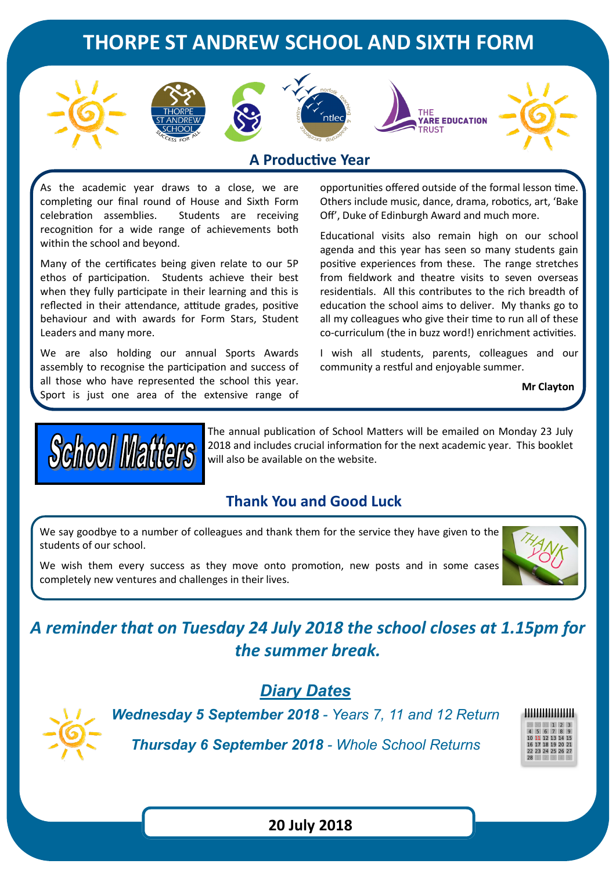# **THORPE ST ANDREW SCHOOL AND SIXTH FORM**











### **A Productive Year**

As the academic year draws to a close, we are completing our final round of House and Sixth Form celebration assemblies. Students are receiving recognition for a wide range of achievements both within the school and beyond.

Many of the certificates being given relate to our 5P ethos of participation. Students achieve their best when they fully participate in their learning and this is reflected in their attendance, attitude grades, positive behaviour and with awards for Form Stars, Student Leaders and many more.

We are also holding our annual Sports Awards assembly to recognise the participation and success of all those who have represented the school this year. Sport is just one area of the extensive range of

opportunities offered outside of the formal lesson time. Others include music, dance, drama, robotics, art, 'Bake Off', Duke of Edinburgh Award and much more.

Educational visits also remain high on our school agenda and this year has seen so many students gain positive experiences from these. The range stretches from fieldwork and theatre visits to seven overseas residentials. All this contributes to the rich breadth of education the school aims to deliver. My thanks go to all my colleagues who give their time to run all of these co-curriculum (the in buzz word!) enrichment activities.

I wish all students, parents, colleagues and our community a restful and enjoyable summer.

**Mr Clayton**



The annual publication of School Matters will be emailed on Monday 23 July 2018 and includes crucial information for the next academic year. This booklet will also be available on the website.

### **Thank You and Good Luck**

We say goodbye to a number of colleagues and thank them for the service they have given to the students of our school.

We wish them every success as they move onto promotion, new posts and in some cases completely new ventures and challenges in their lives.



# *A reminder that on Tuesday 24 July 2018 the school closes at 1.15pm for the summer break.*

## *Diary Dates*



*Wednesday 5 September 2018 - Years 7, 11 and 12 Return*

*Thursday 6 September 2018 - Whole School Returns*



**20 July 2018**